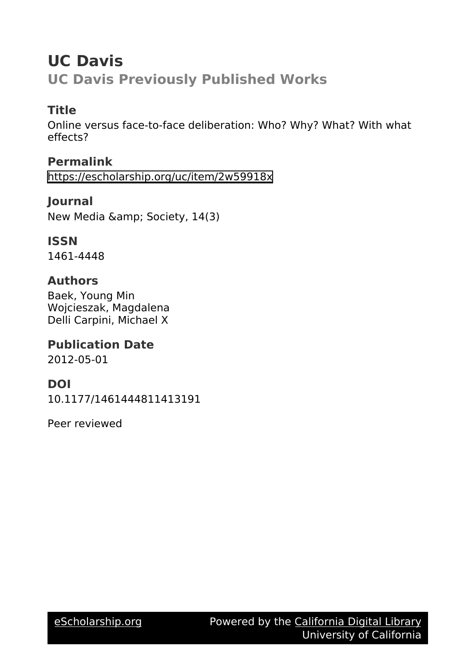# **UC Davis UC Davis Previously Published Works**

## **Title**

Online versus face-to-face deliberation: Who? Why? What? With what effects?

**Permalink**

<https://escholarship.org/uc/item/2w59918x>

## **Journal**

New Media & amp; Society, 14(3)

## **ISSN**

1461-4448

## **Authors**

Baek, Young Min Wojcieszak, Magdalena Delli Carpini, Michael X

## **Publication Date**

2012-05-01

## **DOI**

10.1177/1461444811413191

Peer reviewed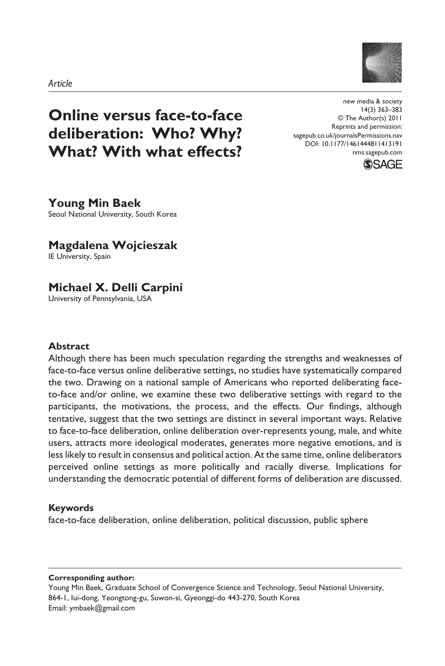

# **Online versus face-to-face deliberation: Who? Why? What? With what effects?**

new media & society 14(3) 363–383 © The Author(s) 2011 Reprints and permission: sagepub.co.uk/journalsPermissions.nav DOI: 10.1177/1461444811413191 nms.sagepub.com



## **Young Min Baek**

Seoul National University, South Korea

## **Magdalena Wojcieszak**

IE University, Spain

## **Michael X. Delli Carpini**

University of Pennsylvania, USA

### **Abstract**

Although there has been much speculation regarding the strengths and weaknesses of face-to-face versus online deliberative settings, no studies have systematically compared the two. Drawing on a national sample of Americans who reported deliberating faceto-face and/or online, we examine these two deliberative settings with regard to the participants, the motivations, the process, and the effects. Our findings, although tentative, suggest that the two settings are distinct in several important ways. Relative to face-to-face deliberation, online deliberation over-represents young, male, and white users, attracts more ideological moderates, generates more negative emotions, and is less likely to result in consensus and political action. At the same time, online deliberators perceived online settings as more politically and racially diverse. Implications for understanding the democratic potential of different forms of deliberation are discussed.

### **Keywords**

face-to-face deliberation, online deliberation, political discussion, public sphere

#### **Corresponding author:**

Young Min Baek, Graduate School of Convergence Science and Technology, Seoul National University, 864-1, Iui-dong, Yeongtong-gu, Suwon-si, Gyeonggi-do 443-270, South Korea Email: ymbaek@gmail.com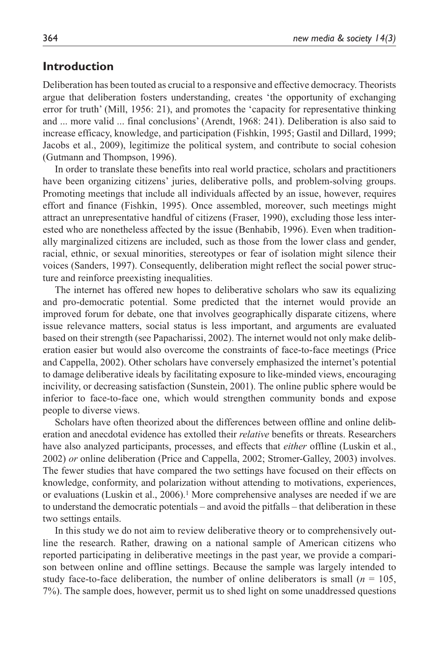### **Introduction**

Deliberation has been touted as crucial to a responsive and effective democracy. Theorists argue that deliberation fosters understanding, creates 'the opportunity of exchanging error for truth' (Mill, 1956: 21), and promotes the 'capacity for representative thinking and ... more valid ... final conclusions' (Arendt, 1968: 241). Deliberation is also said to increase efficacy, knowledge, and participation (Fishkin, 1995; Gastil and Dillard, 1999; Jacobs et al., 2009), legitimize the political system, and contribute to social cohesion (Gutmann and Thompson, 1996).

In order to translate these benefits into real world practice, scholars and practitioners have been organizing citizens' juries, deliberative polls, and problem-solving groups. Promoting meetings that include all individuals affected by an issue, however, requires effort and finance (Fishkin, 1995). Once assembled, moreover, such meetings might attract an unrepresentative handful of citizens (Fraser, 1990), excluding those less interested who are nonetheless affected by the issue (Benhabib, 1996). Even when traditionally marginalized citizens are included, such as those from the lower class and gender, racial, ethnic, or sexual minorities, stereotypes or fear of isolation might silence their voices (Sanders, 1997). Consequently, deliberation might reflect the social power structure and reinforce preexisting inequalities.

The internet has offered new hopes to deliberative scholars who saw its equalizing and pro-democratic potential. Some predicted that the internet would provide an improved forum for debate, one that involves geographically disparate citizens, where issue relevance matters, social status is less important, and arguments are evaluated based on their strength (see Papacharissi, 2002). The internet would not only make deliberation easier but would also overcome the constraints of face-to-face meetings (Price and Cappella, 2002). Other scholars have conversely emphasized the internet's potential to damage deliberative ideals by facilitating exposure to like-minded views, encouraging incivility, or decreasing satisfaction (Sunstein, 2001). The online public sphere would be inferior to face-to-face one, which would strengthen community bonds and expose people to diverse views.

Scholars have often theorized about the differences between offline and online deliberation and anecdotal evidence has extolled their *relative* benefits or threats. Researchers have also analyzed participants, processes, and effects that *either* offline (Luskin et al., 2002) *or* online deliberation (Price and Cappella, 2002; Stromer-Galley, 2003) involves. The fewer studies that have compared the two settings have focused on their effects on knowledge, conformity, and polarization without attending to motivations, experiences, or evaluations (Luskin et al.,  $2006$ ).<sup>1</sup> More comprehensive analyses are needed if we are to understand the democratic potentials – and avoid the pitfalls – that deliberation in these two settings entails.

In this study we do not aim to review deliberative theory or to comprehensively outline the research. Rather, drawing on a national sample of American citizens who reported participating in deliberative meetings in the past year, we provide a comparison between online and offline settings. Because the sample was largely intended to study face-to-face deliberation, the number of online deliberators is small  $(n = 105)$ , 7%). The sample does, however, permit us to shed light on some unaddressed questions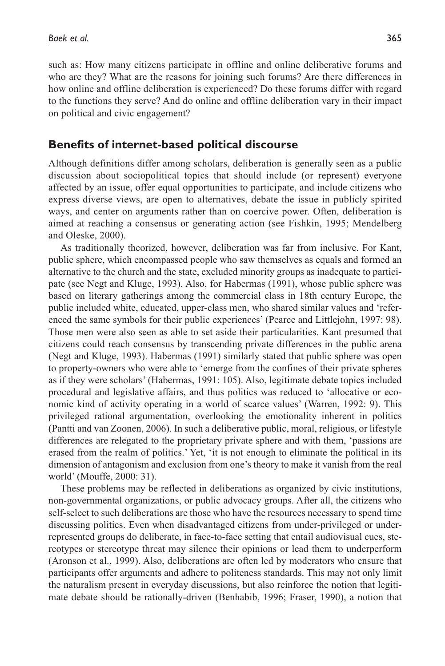such as: How many citizens participate in offline and online deliberative forums and who are they? What are the reasons for joining such forums? Are there differences in how online and offline deliberation is experienced? Do these forums differ with regard to the functions they serve? And do online and offline deliberation vary in their impact on political and civic engagement?

## **Benefits of internet-based political discourse**

Although definitions differ among scholars, deliberation is generally seen as a public discussion about sociopolitical topics that should include (or represent) everyone affected by an issue, offer equal opportunities to participate, and include citizens who express diverse views, are open to alternatives, debate the issue in publicly spirited ways, and center on arguments rather than on coercive power. Often, deliberation is aimed at reaching a consensus or generating action (see Fishkin, 1995; Mendelberg and Oleske, 2000).

As traditionally theorized, however, deliberation was far from inclusive. For Kant, public sphere, which encompassed people who saw themselves as equals and formed an alternative to the church and the state, excluded minority groups as inadequate to participate (see Negt and Kluge, 1993). Also, for Habermas (1991), whose public sphere was based on literary gatherings among the commercial class in 18th century Europe, the public included white, educated, upper-class men, who shared similar values and 'referenced the same symbols for their public experiences' (Pearce and Littlejohn, 1997: 98). Those men were also seen as able to set aside their particularities. Kant presumed that citizens could reach consensus by transcending private differences in the public arena (Negt and Kluge, 1993). Habermas (1991) similarly stated that public sphere was open to property-owners who were able to 'emerge from the confines of their private spheres as if they were scholars' (Habermas, 1991: 105). Also, legitimate debate topics included procedural and legislative affairs, and thus politics was reduced to 'allocative or economic kind of activity operating in a world of scarce values' (Warren, 1992: 9). This privileged rational argumentation, overlooking the emotionality inherent in politics (Pantti and van Zoonen, 2006). In such a deliberative public, moral, religious, or lifestyle differences are relegated to the proprietary private sphere and with them, 'passions are erased from the realm of politics.' Yet, 'it is not enough to eliminate the political in its dimension of antagonism and exclusion from one's theory to make it vanish from the real world' (Mouffe, 2000: 31).

These problems may be reflected in deliberations as organized by civic institutions, non-governmental organizations, or public advocacy groups. After all, the citizens who self-select to such deliberations are those who have the resources necessary to spend time discussing politics. Even when disadvantaged citizens from under-privileged or underrepresented groups do deliberate, in face-to-face setting that entail audiovisual cues, stereotypes or stereotype threat may silence their opinions or lead them to underperform (Aronson et al., 1999). Also, deliberations are often led by moderators who ensure that participants offer arguments and adhere to politeness standards. This may not only limit the naturalism present in everyday discussions, but also reinforce the notion that legitimate debate should be rationally-driven (Benhabib, 1996; Fraser, 1990), a notion that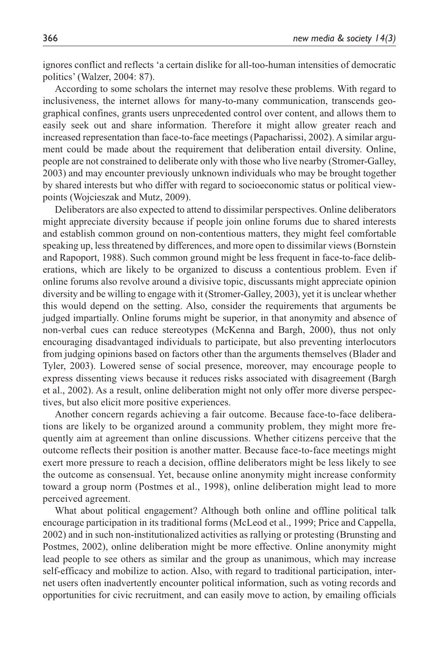ignores conflict and reflects 'a certain dislike for all-too-human intensities of democratic politics' (Walzer, 2004: 87).

According to some scholars the internet may resolve these problems. With regard to inclusiveness, the internet allows for many-to-many communication, transcends geographical confines, grants users unprecedented control over content, and allows them to easily seek out and share information. Therefore it might allow greater reach and increased representation than face-to-face meetings (Papacharissi, 2002). A similar argument could be made about the requirement that deliberation entail diversity. Online, people are not constrained to deliberate only with those who live nearby (Stromer-Galley, 2003) and may encounter previously unknown individuals who may be brought together by shared interests but who differ with regard to socioeconomic status or political viewpoints (Wojcieszak and Mutz, 2009).

Deliberators are also expected to attend to dissimilar perspectives. Online deliberators might appreciate diversity because if people join online forums due to shared interests and establish common ground on non-contentious matters, they might feel comfortable speaking up, less threatened by differences, and more open to dissimilar views (Bornstein and Rapoport, 1988). Such common ground might be less frequent in face-to-face deliberations, which are likely to be organized to discuss a contentious problem. Even if online forums also revolve around a divisive topic, discussants might appreciate opinion diversity and be willing to engage with it (Stromer-Galley, 2003), yet it is unclear whether this would depend on the setting. Also, consider the requirements that arguments be judged impartially. Online forums might be superior, in that anonymity and absence of non-verbal cues can reduce stereotypes (McKenna and Bargh, 2000), thus not only encouraging disadvantaged individuals to participate, but also preventing interlocutors from judging opinions based on factors other than the arguments themselves (Blader and Tyler, 2003). Lowered sense of social presence, moreover, may encourage people to express dissenting views because it reduces risks associated with disagreement (Bargh et al., 2002). As a result, online deliberation might not only offer more diverse perspectives, but also elicit more positive experiences.

Another concern regards achieving a fair outcome. Because face-to-face deliberations are likely to be organized around a community problem, they might more frequently aim at agreement than online discussions. Whether citizens perceive that the outcome reflects their position is another matter. Because face-to-face meetings might exert more pressure to reach a decision, offline deliberators might be less likely to see the outcome as consensual. Yet, because online anonymity might increase conformity toward a group norm (Postmes et al., 1998), online deliberation might lead to more perceived agreement.

What about political engagement? Although both online and offline political talk encourage participation in its traditional forms (McLeod et al., 1999; Price and Cappella, 2002) and in such non-institutionalized activities as rallying or protesting (Brunsting and Postmes, 2002), online deliberation might be more effective. Online anonymity might lead people to see others as similar and the group as unanimous, which may increase self-efficacy and mobilize to action. Also, with regard to traditional participation, internet users often inadvertently encounter political information, such as voting records and opportunities for civic recruitment, and can easily move to action, by emailing officials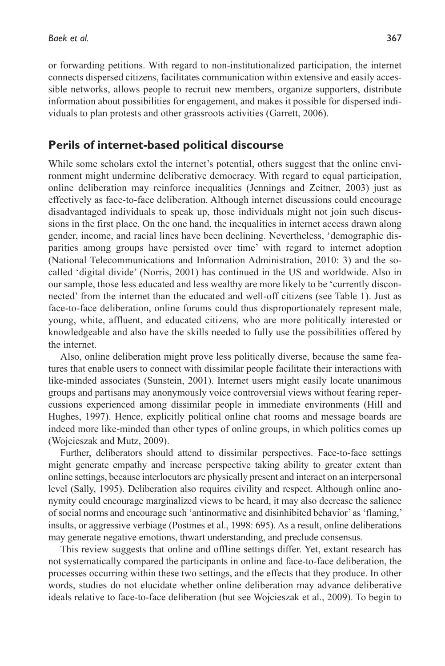or forwarding petitions. With regard to non-institutionalized participation, the internet connects dispersed citizens, facilitates communication within extensive and easily accessible networks, allows people to recruit new members, organize supporters, distribute information about possibilities for engagement, and makes it possible for dispersed individuals to plan protests and other grassroots activities (Garrett, 2006).

### **Perils of internet-based political discourse**

While some scholars extol the internet's potential, others suggest that the online environment might undermine deliberative democracy. With regard to equal participation, online deliberation may reinforce inequalities (Jennings and Zeitner, 2003) just as effectively as face-to-face deliberation. Although internet discussions could encourage disadvantaged individuals to speak up, those individuals might not join such discussions in the first place. On the one hand, the inequalities in internet access drawn along gender, income, and racial lines have been declining. Nevertheless, 'demographic disparities among groups have persisted over time' with regard to internet adoption (National Telecommunications and Information Administration, 2010: 3) and the socalled 'digital divide' (Norris, 2001) has continued in the US and worldwide. Also in our sample, those less educated and less wealthy are more likely to be 'currently disconnected' from the internet than the educated and well-off citizens (see Table 1). Just as face-to-face deliberation, online forums could thus disproportionately represent male, young, white, affluent, and educated citizens, who are more politically interested or knowledgeable and also have the skills needed to fully use the possibilities offered by the internet.

Also, online deliberation might prove less politically diverse, because the same features that enable users to connect with dissimilar people facilitate their interactions with like-minded associates (Sunstein, 2001). Internet users might easily locate unanimous groups and partisans may anonymously voice controversial views without fearing repercussions experienced among dissimilar people in immediate environments (Hill and Hughes, 1997). Hence, explicitly political online chat rooms and message boards are indeed more like-minded than other types of online groups, in which politics comes up (Wojcieszak and Mutz, 2009).

Further, deliberators should attend to dissimilar perspectives. Face-to-face settings might generate empathy and increase perspective taking ability to greater extent than online settings, because interlocutors are physically present and interact on an interpersonal level (Sally, 1995). Deliberation also requires civility and respect. Although online anonymity could encourage marginalized views to be heard, it may also decrease the salience of social norms and encourage such 'antinormative and disinhibited behavior' as 'flaming,' insults, or aggressive verbiage (Postmes et al., 1998: 695). As a result, online deliberations may generate negative emotions, thwart understanding, and preclude consensus.

This review suggests that online and offline settings differ. Yet, extant research has not systematically compared the participants in online and face-to-face deliberation, the processes occurring within these two settings, and the effects that they produce. In other words, studies do not elucidate whether online deliberation may advance deliberative ideals relative to face-to-face deliberation (but see Wojcieszak et al., 2009). To begin to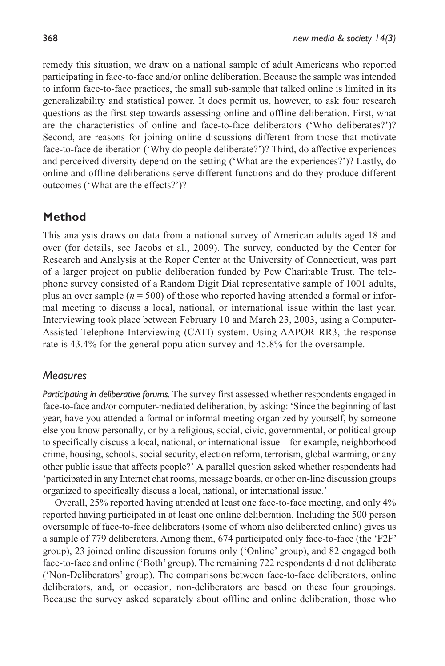remedy this situation, we draw on a national sample of adult Americans who reported participating in face-to-face and/or online deliberation. Because the sample was intended to inform face-to-face practices, the small sub-sample that talked online is limited in its generalizability and statistical power. It does permit us, however, to ask four research questions as the first step towards assessing online and offline deliberation. First, what are the characteristics of online and face-to-face deliberators ('Who deliberates?')? Second, are reasons for joining online discussions different from those that motivate face-to-face deliberation ('Why do people deliberate?')? Third, do affective experiences and perceived diversity depend on the setting ('What are the experiences?')? Lastly, do online and offline deliberations serve different functions and do they produce different outcomes ('What are the effects?')?

### **Method**

This analysis draws on data from a national survey of American adults aged 18 and over (for details, see Jacobs et al., 2009). The survey, conducted by the Center for Research and Analysis at the Roper Center at the University of Connecticut, was part of a larger project on public deliberation funded by Pew Charitable Trust. The telephone survey consisted of a Random Digit Dial representative sample of 1001 adults, plus an over sample  $(n = 500)$  of those who reported having attended a formal or informal meeting to discuss a local, national, or international issue within the last year. Interviewing took place between February 10 and March 23, 2003, using a Computer-Assisted Telephone Interviewing (CATI) system. Using AAPOR RR3, the response rate is 43.4% for the general population survey and 45.8% for the oversample.

### *Measures*

*Participating in deliberative forums.* The survey first assessed whether respondents engaged in face-to-face and/or computer-mediated deliberation, by asking: 'Since the beginning of last year, have you attended a formal or informal meeting organized by yourself, by someone else you know personally, or by a religious, social, civic, governmental, or political group to specifically discuss a local, national, or international issue – for example, neighborhood crime, housing, schools, social security, election reform, terrorism, global warming, or any other public issue that affects people?' A parallel question asked whether respondents had 'participated in any Internet chat rooms, message boards, or other on-line discussion groups organized to specifically discuss a local, national, or international issue.'

Overall, 25% reported having attended at least one face-to-face meeting, and only 4% reported having participated in at least one online deliberation. Including the 500 person oversample of face-to-face deliberators (some of whom also deliberated online) gives us a sample of 779 deliberators. Among them, 674 participated only face-to-face (the 'F2F' group), 23 joined online discussion forums only ('Online' group), and 82 engaged both face-to-face and online ('Both' group). The remaining 722 respondents did not deliberate ('Non-Deliberators' group). The comparisons between face-to-face deliberators, online deliberators, and, on occasion, non-deliberators are based on these four groupings. Because the survey asked separately about offline and online deliberation, those who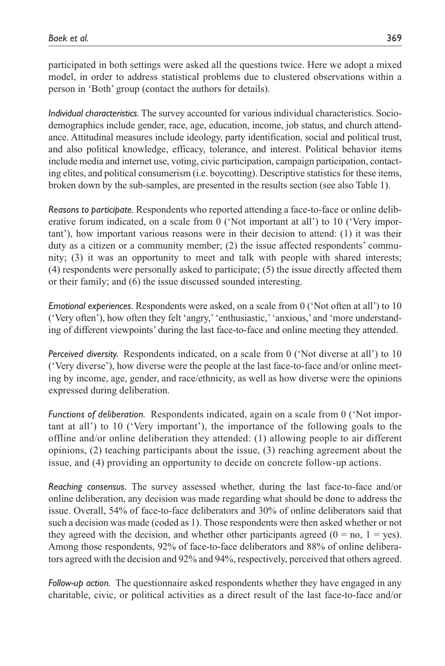participated in both settings were asked all the questions twice. Here we adopt a mixed model, in order to address statistical problems due to clustered observations within a person in 'Both' group (contact the authors for details).

*Individual characteristics.* The survey accounted for various individual characteristics. Sociodemographics include gender, race, age, education, income, job status, and church attendance. Attitudinal measures include ideology, party identification, social and political trust, and also political knowledge, efficacy, tolerance, and interest. Political behavior items include media and internet use, voting, civic participation, campaign participation, contacting elites, and political consumerism (i.e. boycotting). Descriptive statistics for these items, broken down by the sub-samples, are presented in the results section (see also Table 1).

*Reasons to participate.* Respondents who reported attending a face-to-face or online deliberative forum indicated, on a scale from 0 ('Not important at all') to 10 ('Very important'), how important various reasons were in their decision to attend: (1) it was their duty as a citizen or a community member; (2) the issue affected respondents' community; (3) it was an opportunity to meet and talk with people with shared interests; (4) respondents were personally asked to participate; (5) the issue directly affected them or their family; and (6) the issue discussed sounded interesting.

*Emotional experiences.* Respondents were asked, on a scale from 0 ('Not often at all') to 10 ('Very often'), how often they felt 'angry,' 'enthusiastic,' 'anxious,' and 'more understanding of different viewpoints' during the last face-to-face and online meeting they attended.

*Perceived diversity.* Respondents indicated, on a scale from 0 ('Not diverse at all') to 10 ('Very diverse'), how diverse were the people at the last face-to-face and/or online meeting by income, age, gender, and race/ethnicity, as well as how diverse were the opinions expressed during deliberation.

*Functions of deliberation.* Respondents indicated, again on a scale from 0 ('Not important at all') to 10 ('Very important'), the importance of the following goals to the offline and/or online deliberation they attended: (1) allowing people to air different opinions, (2) teaching participants about the issue, (3) reaching agreement about the issue, and (4) providing an opportunity to decide on concrete follow-up actions.

*Reaching consensus.* The survey assessed whether, during the last face-to-face and/or online deliberation, any decision was made regarding what should be done to address the issue. Overall, 54% of face-to-face deliberators and 30% of online deliberators said that such a decision was made (coded as 1). Those respondents were then asked whether or not they agreed with the decision, and whether other participants agreed  $(0 = no, 1 = yes)$ . Among those respondents, 92% of face-to-face deliberators and 88% of online deliberators agreed with the decision and 92% and 94%, respectively, perceived that others agreed.

*Follow-up action.* The questionnaire asked respondents whether they have engaged in any charitable, civic, or political activities as a direct result of the last face-to-face and/or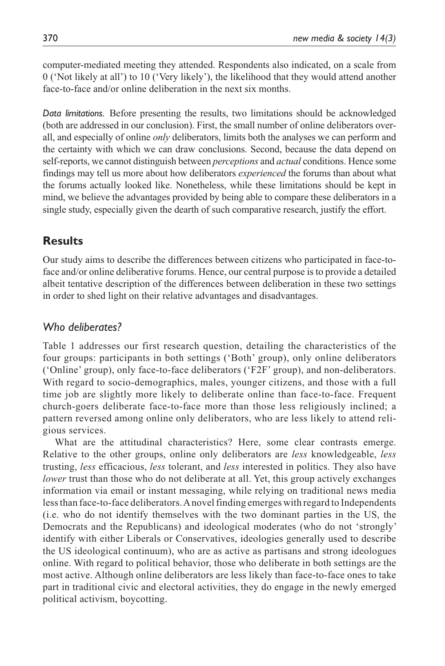computer-mediated meeting they attended. Respondents also indicated, on a scale from 0 ('Not likely at all') to 10 ('Very likely'), the likelihood that they would attend another face-to-face and/or online deliberation in the next six months.

*Data limitations.* Before presenting the results, two limitations should be acknowledged (both are addressed in our conclusion). First, the small number of online deliberators overall, and especially of online *only* deliberators, limits both the analyses we can perform and the certainty with which we can draw conclusions. Second, because the data depend on self-reports, we cannot distinguish between *perceptions* and *actual* conditions. Hence some findings may tell us more about how deliberators *experienced* the forums than about what the forums actually looked like. Nonetheless, while these limitations should be kept in mind, we believe the advantages provided by being able to compare these deliberators in a single study, especially given the dearth of such comparative research, justify the effort.

## **Results**

Our study aims to describe the differences between citizens who participated in face-toface and/or online deliberative forums. Hence, our central purpose is to provide a detailed albeit tentative description of the differences between deliberation in these two settings in order to shed light on their relative advantages and disadvantages.

## *Who deliberates?*

Table 1 addresses our first research question, detailing the characteristics of the four groups: participants in both settings ('Both' group), only online deliberators ('Online' group), only face-to-face deliberators ('F2F' group), and non-deliberators. With regard to socio-demographics, males, younger citizens, and those with a full time job are slightly more likely to deliberate online than face-to-face. Frequent church-goers deliberate face-to-face more than those less religiously inclined; a pattern reversed among online only deliberators, who are less likely to attend religious services.

What are the attitudinal characteristics? Here, some clear contrasts emerge. Relative to the other groups, online only deliberators are *less* knowledgeable, *less* trusting, *less* efficacious, *less* tolerant, and *less* interested in politics. They also have *lower* trust than those who do not deliberate at all. Yet, this group actively exchanges information via email or instant messaging, while relying on traditional news media less than face-to-face deliberators. A novel finding emerges with regard to Independents (i.e. who do not identify themselves with the two dominant parties in the US, the Democrats and the Republicans) and ideological moderates (who do not 'strongly' identify with either Liberals or Conservatives, ideologies generally used to describe the US ideological continuum), who are as active as partisans and strong ideologues online. With regard to political behavior, those who deliberate in both settings are the most active. Although online deliberators are less likely than face-to-face ones to take part in traditional civic and electoral activities, they do engage in the newly emerged political activism, boycotting.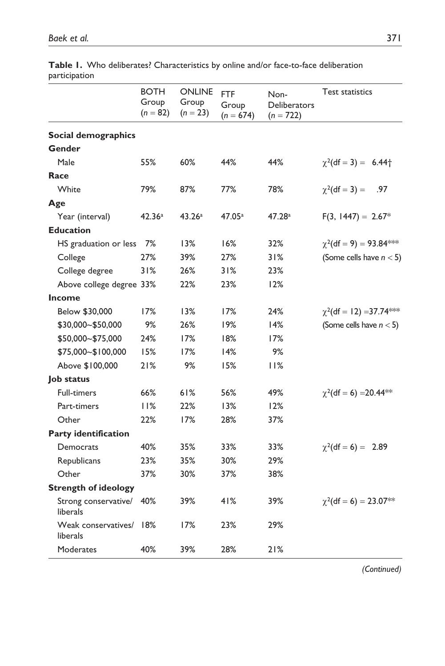|                                  | <b>BOTH</b><br>Group<br>$(n = 82)$ | <b>ONLINE</b><br>Group<br>$(n = 23)$ | <b>FTF</b><br>Group<br>$(n = 674)$ | Non-<br><b>Deliberators</b><br>$(n = 722)$ | <b>Test statistics</b>                |
|----------------------------------|------------------------------------|--------------------------------------|------------------------------------|--------------------------------------------|---------------------------------------|
| Social demographics              |                                    |                                      |                                    |                                            |                                       |
| Gender                           |                                    |                                      |                                    |                                            |                                       |
| Male                             | 55%                                | 60%                                  | 44%                                | 44%                                        | $\chi^2$ (df = 3) = 6.44 <sup>+</sup> |
| Race                             |                                    |                                      |                                    |                                            |                                       |
| White                            | 79%                                | 87%                                  | 77%                                | 78%                                        | $\chi^2$ (df = 3) =<br>.97            |
| Age                              |                                    |                                      |                                    |                                            |                                       |
| Year (interval)                  | 42.36a                             | 43.26a                               | 47.05a                             | 47.28ª                                     | $F(3, 1447) = 2.67*$                  |
| <b>Education</b>                 |                                    |                                      |                                    |                                            |                                       |
| HS graduation or less            | 7%                                 | 13%                                  | 16%                                | 32%                                        | $\chi^2$ (df = 9) = 93.84***          |
| College                          | 27%                                | 39%                                  | 27%                                | 31%                                        | (Some cells have $n < 5$ )            |
| College degree                   | 31%                                | 26%                                  | 31%                                | 23%                                        |                                       |
| Above college degree 33%         |                                    | 22%                                  | 23%                                | 12%                                        |                                       |
| <b>Income</b>                    |                                    |                                      |                                    |                                            |                                       |
| Below \$30,000                   | 17%                                | 13%                                  | 17%                                | 24%                                        | $\chi^2$ (df = 12) = 37.74***         |
| \$30,000~\$50,000                | 9%                                 | 26%                                  | 19%                                | 14%                                        | (Some cells have $n < 5$ )            |
| \$50,000~\$75,000                | 24%                                | 17%                                  | 18%                                | 17%                                        |                                       |
| \$75,000~\$100,000               | 15%                                | 17%                                  | 14%                                | 9%                                         |                                       |
| Above \$100,000                  | 21%                                | 9%                                   | 15%                                | 11%                                        |                                       |
| Job status                       |                                    |                                      |                                    |                                            |                                       |
| <b>Full-timers</b>               | 66%                                | 61%                                  | 56%                                | 49%                                        | $\chi^2$ (df = 6) = 20.44**           |
| Part-timers                      | 11%                                | 22%                                  | 13%                                | 12%                                        |                                       |
| Other                            | 22%                                | 17%                                  | 28%                                | 37%                                        |                                       |
| <b>Party identification</b>      |                                    |                                      |                                    |                                            |                                       |
| Democrats                        | 40%                                | 35%                                  | 33%                                | 33%                                        | $\chi^2$ (df = 6) = 2.89              |
| Republicans                      | 23%                                | 35%                                  | 30%                                | 29%                                        |                                       |
| Other                            | 37%                                | 30%                                  | 37%                                | 38%                                        |                                       |
| <b>Strength of ideology</b>      |                                    |                                      |                                    |                                            |                                       |
| Strong conservative/<br>liberals | 40%                                | 39%                                  | 41%                                | 39%                                        | $\chi^2$ (df = 6) = 23.07**           |
| Weak conservatives/<br>liberals  | 18%                                | 17%                                  | 23%                                | 29%                                        |                                       |
| Moderates                        | 40%                                | 39%                                  | 28%                                | 21%                                        |                                       |

**Table 1.** Who deliberates? Characteristics by online and/or face-to-face deliberation participation

*(Continued)*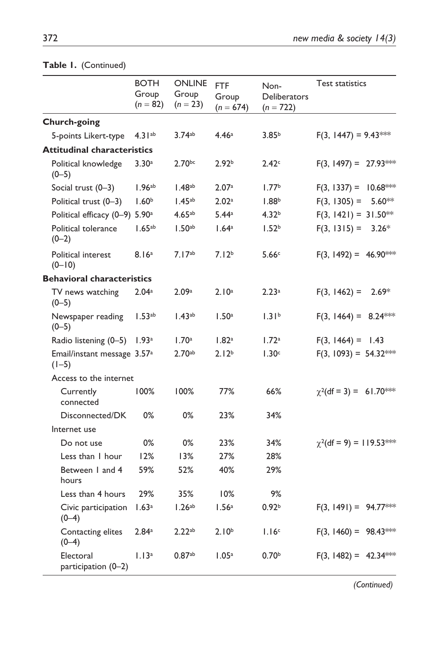|                                                    | BOTH<br>Group<br>$(n = 82)$ | ONLINE<br>Group<br>$(n = 23)$ | <b>FTF</b><br>Group<br>$(n = 674)$ | Non-<br>Deliberators<br>$(n = 722)$ | <b>Test statistics</b>                  |
|----------------------------------------------------|-----------------------------|-------------------------------|------------------------------------|-------------------------------------|-----------------------------------------|
| <b>Church-going</b>                                |                             |                               |                                    |                                     |                                         |
| 5-points Likert-type                               | 4.31ab                      | $3.74$ <sup>ab</sup>          | 4.46 <sup>a</sup>                  | 3.85 <sup>b</sup>                   | $F(3, 1447) = 9.43^{+44}$               |
| <b>Attitudinal characteristics</b>                 |                             |                               |                                    |                                     |                                         |
| Political knowledge<br>$(0-5)$                     | 3.30 <sup>a</sup>           | 2.70 <sub>bc</sub>            | 2.92 <sup>b</sup>                  | 2.42c                               | $F(3, 1497) = 27.93$ **                 |
| Social trust (0-3)                                 | 1.96 <sup>ab</sup>          | 1.48 <sup>ab</sup>            | 2.07a                              | 1.77 <sup>b</sup>                   | $F(3, 1337) = 10.68$ **                 |
| Political trust (0-3)                              | 1.60 <sup>b</sup>           | 1.45 <sup>ab</sup>            | 2.02 <sup>a</sup>                  | 1.88 <sup>b</sup>                   | 5.60**<br>$F(3, 1305) =$                |
| Political efficacy (0-9) 5.90 <sup>a</sup>         |                             | 4.65ab                        | 5.44a                              | 4.32 <sup>b</sup>                   | $F(3, 1421) = 31.50$ **                 |
| Political tolerance<br>$(0-2)$                     | 1.65ab                      | 1.50 <sup>ab</sup>            | 1.64 <sup>a</sup>                  | 1.52 <sup>b</sup>                   | $F(3, 1315) =$<br>$3.26*$               |
| Political interest<br>$(0 - 10)$                   | 8.16 <sup>a</sup>           | 7.17 <sup>ab</sup>            | 7.12 <sup>b</sup>                  | 5.66c                               | $F(3, 1492) = 46.90$ **                 |
| <b>Behavioral characteristics</b>                  |                             |                               |                                    |                                     |                                         |
| TV news watching<br>$(0-5)$                        | 2.04 <sup>a</sup>           | 2.09a                         | 2.10 <sup>a</sup>                  | 2.23a                               | $2.69*$<br>$F(3, 1462) =$               |
| Newspaper reading<br>$(0 - 5)$                     | 1.53 <sup>ab</sup>          | 1.43 <sup>ab</sup>            | 1.50 <sup>a</sup>                  | 1.31 <sup>b</sup>                   | $F(3, 1464) =$<br>8.24 ***              |
| Radio listening (0-5)                              | 1.93 <sup>a</sup>           | 1.70 <sup>a</sup>             | 1.82 <sup>a</sup>                  | 1.72 <sup>a</sup>                   | $F(3, 1464) =$<br>1.43                  |
| Email/instant message 3.57 <sup>a</sup><br>$(1-5)$ |                             | $2.70$ <sup>ab</sup>          | 2.12 <sup>b</sup>                  | 1.30 <sub>c</sub>                   | $F(3, 1093) = 54.32$ **                 |
| Access to the internet                             |                             |                               |                                    |                                     |                                         |
| Currently<br>connected                             | 100%                        | 100%                          | 77%                                | 66%                                 | $\chi^2$ (df = 3) = 61.70 <sup>**</sup> |
| Disconnected/DK                                    | 0%                          | 0%                            | 23%                                | 34%                                 |                                         |
| Internet use                                       |                             |                               |                                    |                                     |                                         |
| Do not use                                         | 0%                          | 0%                            | 23%                                | 34%                                 | $\chi^2$ (df = 9) = 119.53***           |
| Less than I hour                                   | 12%                         | 13%                           | 27%                                | 28%                                 |                                         |
| Between I and 4<br>hours                           | 59%                         | 52%                           | 40%                                | 29%                                 |                                         |
| Less than 4 hours                                  | 29%                         | 35%                           | 10%                                | 9%                                  |                                         |
| Civic participation<br>$(0-4)$                     | 1.63 <sup>a</sup>           | 1.26 <sup>ab</sup>            | 1.56 <sup>a</sup>                  | 0.92 <sup>b</sup>                   | $F(3, 1491) = 94.77$ **                 |
| Contacting elites<br>$(0-4)$                       | 2.84 <sup>a</sup>           | $2.22$ <sup>ab</sup>          | 2.10 <sup>b</sup>                  | 1.16c                               | 98.43***<br>$F(3, 1460) =$              |
| Electoral<br>participation (0-2)                   | 1.13 <sup>a</sup>           | $0.87$ <sup>ab</sup>          | 1.05 <sup>a</sup>                  | 0.70 <sup>b</sup>                   | $F(3, 1482) = 42.34$ **                 |

### **Table 1.** (Continued)

*(Continued)*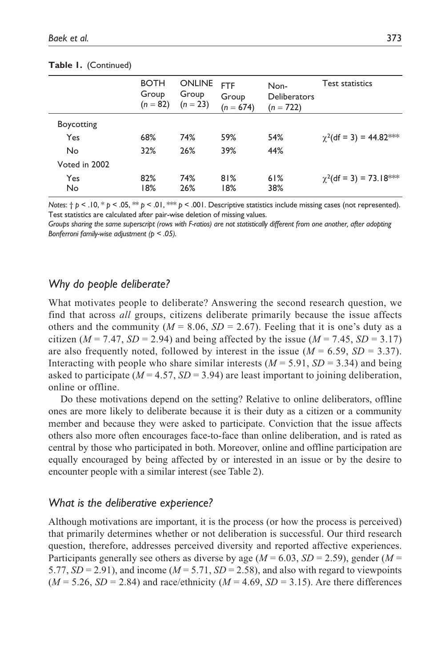|               | <b>BOTH</b><br>Group<br>$(n = 82)$ | <b>ONLINE</b><br>Group<br>$(n = 23)$ | <b>FTF</b><br>Group<br>$(n = 674)$ | Non-<br><b>Deliberators</b><br>$(n = 722)$ | <b>Test statistics</b>         |
|---------------|------------------------------------|--------------------------------------|------------------------------------|--------------------------------------------|--------------------------------|
| Boycotting    |                                    |                                      |                                    |                                            |                                |
| Yes           | 68%                                | 74%                                  | 59%                                | 54%                                        | $\chi^2$ (df = 3) = 44.82***   |
| No            | 32%                                | 26%                                  | 39%                                | 44%                                        |                                |
| Voted in 2002 |                                    |                                      |                                    |                                            |                                |
| Yes<br>No     | 82%<br>18%                         | 74%<br>26%                           | 81%<br>18%                         | 61%<br>38%                                 | $\gamma^2$ (df = 3) = 73.18*** |

#### **Table 1.** (Continued)

*Notes*:  $\uparrow$  *p* < .10, \* *p* < .05, \*\* *p* < .01, \*\* *p* < .001. Descriptive statistics include missing cases (not represented). Test statistics are calculated after pair-wise deletion of missing values.

*Groups sharing the same superscript (rows with F-ratios) are not statistically different from one another, after adopting Bonferroni family-wise adjustment (p < .05).*

#### *Why do people deliberate?*

What motivates people to deliberate? Answering the second research question, we find that across *all* groups, citizens deliberate primarily because the issue affects others and the community ( $M = 8.06$ ,  $SD = 2.67$ ). Feeling that it is one's duty as a citizen ( $M = 7.47$ ,  $SD = 2.94$ ) and being affected by the issue ( $M = 7.45$ ,  $SD = 3.17$ ) are also frequently noted, followed by interest in the issue  $(M = 6.59, SD = 3.37)$ . Interacting with people who share similar interests  $(M = 5.91, SD = 3.34)$  and being asked to participate ( $M = 4.57$ ,  $SD = 3.94$ ) are least important to joining deliberation, online or offline.

Do these motivations depend on the setting? Relative to online deliberators, offline ones are more likely to deliberate because it is their duty as a citizen or a community member and because they were asked to participate. Conviction that the issue affects others also more often encourages face-to-face than online deliberation, and is rated as central by those who participated in both. Moreover, online and offline participation are equally encouraged by being affected by or interested in an issue or by the desire to encounter people with a similar interest (see Table 2).

### *What is the deliberative experience?*

Although motivations are important, it is the process (or how the process is perceived) that primarily determines whether or not deliberation is successful. Our third research question, therefore, addresses perceived diversity and reported affective experiences. Participants generally see others as diverse by age ( $M = 6.03$ ,  $SD = 2.59$ ), gender ( $M =$ 5.77,  $SD = 2.91$ ), and income ( $M = 5.71$ ,  $SD = 2.58$ ), and also with regard to viewpoints  $(M = 5.26, SD = 2.84)$  and race/ethnicity  $(M = 4.69, SD = 3.15)$ . Are there differences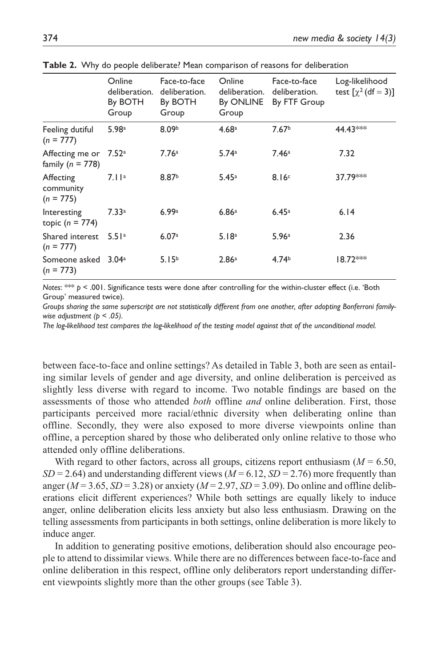|                                                           | Online<br>deliberation.<br>By BOTH<br>Group | Face-to-face<br>deliberation.<br>By BOTH<br>Group | Online<br>deliberation.<br>By ONLINE<br>Group | Face-to-face<br>deliberation.<br>By FTF Group | Log-likelihood<br>test $[\chi^2$ (df = 3)] |
|-----------------------------------------------------------|---------------------------------------------|---------------------------------------------------|-----------------------------------------------|-----------------------------------------------|--------------------------------------------|
| Feeling dutiful<br>$(n = 777)$                            | 5.98 <sup>a</sup>                           | 8.09 <sup>b</sup>                                 | 4.68 <sup>a</sup>                             | 7.67 <sup>b</sup>                             | 44.43***                                   |
| Affecting me or 7.52 <sup>a</sup><br>family ( $n = 778$ ) |                                             | 7.76a                                             | 5.74a                                         | 7.46 <sup>a</sup>                             | 7.32                                       |
| Affecting<br>community<br>$(n = 775)$                     | 7.11a                                       | 8.87 <sup>b</sup>                                 | 5.45a                                         | 8.16c                                         | 37.79***                                   |
| Interesting<br>topic $(n = 774)$                          | 7.33a                                       | 6.99a                                             | 6.86a                                         | 6.45a                                         | 6.14                                       |
| Shared interest<br>$(n = 777)$                            | 5.51a                                       | 6.07a                                             | 5.18 <sup>a</sup>                             | 5.96 <sup>a</sup>                             | 2.36                                       |
| Someone asked 3.04 <sup>a</sup><br>$(n = 773)$            |                                             | 5.15 <sup>b</sup>                                 | 2.86 <sup>a</sup>                             | 4.74 <sup>b</sup>                             | 18.72***                                   |

**Table 2.** Why do people deliberate? Mean comparison of reasons for deliberation

*Notes*: \*\*\* *p* < .001. Significance tests were done after controlling for the within-cluster effect (i.e. 'Both Group' measured twice).

*Groups sharing the same superscript are not statistically different from one another, after adopting Bonferroni familywise adjustment (p < .05).* 

*The log-likelihood test compares the log-likelihood of the testing model against that of the unconditional model.*

between face-to-face and online settings? As detailed in Table 3, both are seen as entailing similar levels of gender and age diversity, and online deliberation is perceived as slightly less diverse with regard to income. Two notable findings are based on the assessments of those who attended *both* offline *and* online deliberation. First, those participants perceived more racial/ethnic diversity when deliberating online than offline. Secondly, they were also exposed to more diverse viewpoints online than offline, a perception shared by those who deliberated only online relative to those who attended only offline deliberations.

With regard to other factors, across all groups, citizens report enthusiasm  $(M = 6.50)$ ,  $SD = 2.64$ ) and understanding different views ( $M = 6.12$ ,  $SD = 2.76$ ) more frequently than anger ( $M = 3.65$ ,  $SD = 3.28$ ) or anxiety ( $M = 2.97$ ,  $SD = 3.09$ ). Do online and offline deliberations elicit different experiences? While both settings are equally likely to induce anger, online deliberation elicits less anxiety but also less enthusiasm. Drawing on the telling assessments from participants in both settings, online deliberation is more likely to induce anger.

In addition to generating positive emotions, deliberation should also encourage people to attend to dissimilar views. While there are no differences between face-to-face and online deliberation in this respect, offline only deliberators report understanding different viewpoints slightly more than the other groups (see Table 3).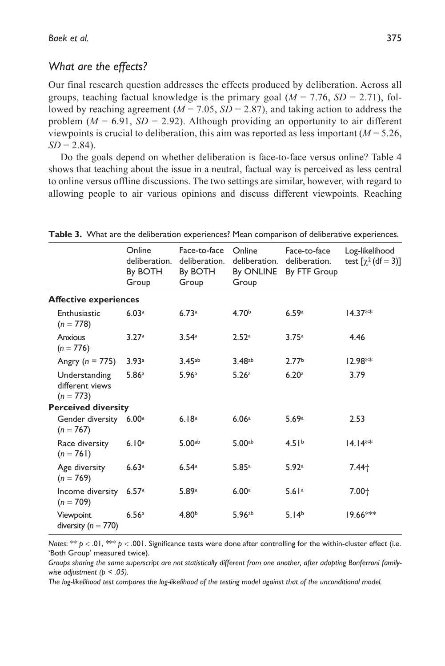### *What are the effects?*

Our final research question addresses the effects produced by deliberation. Across all groups, teaching factual knowledge is the primary goal  $(M = 7.76, SD = 2.71)$ , followed by reaching agreement ( $M = 7.05$ ,  $SD = 2.87$ ), and taking action to address the problem  $(M = 6.91, SD = 2.92)$ . Although providing an opportunity to air different viewpoints is crucial to deliberation, this aim was reported as less important  $(M = 5.26$ ,  $SD = 2.84$ .

Do the goals depend on whether deliberation is face-to-face versus online? Table 4 shows that teaching about the issue in a neutral, factual way is perceived as less central to online versus offline discussions. The two settings are similar, however, with regard to allowing people to air various opinions and discuss different viewpoints. Reaching

|                                                 | Online<br>deliberation.<br>By BOTH<br>Group | Face-to-face<br>deliberation.<br>By BOTH<br>Group | Online<br>deliberation.<br>By ONLINE<br>Group | Face-to-face<br>deliberation.<br>By FTF Group | Log-likelihood<br>test $[\chi^2$ (df = 3)] |
|-------------------------------------------------|---------------------------------------------|---------------------------------------------------|-----------------------------------------------|-----------------------------------------------|--------------------------------------------|
| <b>Affective experiences</b>                    |                                             |                                                   |                                               |                                               |                                            |
| Enthusiastic<br>$(n = 778)$                     | 6.03a                                       | 6.73a                                             | 4.70 <sup>b</sup>                             | 6.59a                                         | $14.37**$                                  |
| Anxious<br>$(n = 776)$                          | 3.27a                                       | 3.54 <sup>a</sup>                                 | 2.52 <sup>a</sup>                             | 3.75a                                         | 4.46                                       |
| Angry ( $n = 775$ )                             | 3.93a                                       | $3.45^{ab}$                                       | 3.48 <sup>ab</sup>                            | 2.77 <sup>b</sup>                             | $12.98**$                                  |
| Understanding<br>different views<br>$(n = 773)$ | 5.86 <sup>a</sup>                           | 5.96 <sup>a</sup>                                 | 5.26 <sup>a</sup>                             | 6.20a                                         | 3.79                                       |
| <b>Perceived diversity</b>                      |                                             |                                                   |                                               |                                               |                                            |
| Gender diversity<br>$(n = 767)$                 | 6.00a                                       | 6.18 <sup>a</sup>                                 | 6.06a                                         | 5.69a                                         | 2.53                                       |
| Race diversity<br>$(n = 761)$                   | 6.10a                                       | 5.00 <sub>ab</sub>                                | 5.00 <sub>ab</sub>                            | 4.51 <sup>b</sup>                             | $14.14**$                                  |
| Age diversity<br>$(n = 769)$                    | 6.63a                                       | 6.54a                                             | 5.85a                                         | 5.92a                                         | 7.44 <sub>†</sub>                          |
| Income diversity<br>$(n = 709)$                 | 6.57a                                       | 5.89a                                             | 6.00a                                         | 5.61a                                         | $7.00+$                                    |
| Viewpoint<br>diversity ( $n = 770$ )            | 6.56a                                       | 4.80 <sup>b</sup>                                 | 5.96ab                                        | 5.14 <sup>b</sup>                             | $19.66***$                                 |

**Table 3.** What are the deliberation experiences? Mean comparison of deliberative experiences.

*Notes*: \*\* *p* < .01, \*\* *p* < .001. Significance tests were done after controlling for the within-cluster effect (i.e. 'Both Group' measured twice).

*Groups sharing the same superscript are not statistically different from one another, after adopting Bonferroni familywise adjustment (p < .05).* 

*The log-likelihood test compares the log-likelihood of the testing model against that of the unconditional model.*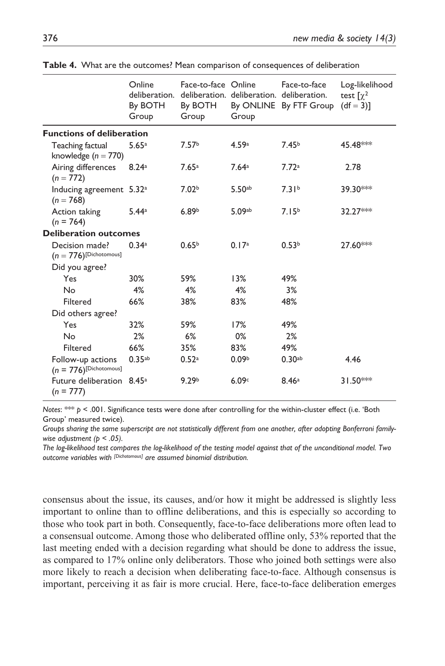|                                                      | Online<br>By BOTH<br>Group | Face-to-face Online<br>By BOTH<br>Group | deliberation. deliberation. deliberation. deliberation.<br>Group | Face-to-face<br>By ONLINE By FTF Group $(df = 3)]$ | Log-likelihood<br>test $\lceil \chi^2 \rceil$ |
|------------------------------------------------------|----------------------------|-----------------------------------------|------------------------------------------------------------------|----------------------------------------------------|-----------------------------------------------|
| <b>Functions of deliberation</b>                     |                            |                                         |                                                                  |                                                    |                                               |
| Teaching factual<br>knowledge $(n = 770)$            | 5.65a                      | 7.57 <sup>b</sup>                       | 4.59a                                                            | 7.45 <sup>b</sup>                                  | 45.48***                                      |
| Airing differences<br>$(n = 772)$                    | 8.24a                      | 7.65a                                   | 7.64 <sup>a</sup>                                                | 7.72 <sup>a</sup>                                  | 2.78                                          |
| Inducing agreement 5.32 <sup>a</sup><br>$(n = 768)$  |                            | 7.02 <sup>b</sup>                       | 5.50 <sub>ab</sub>                                               | 7.31 <sup>b</sup>                                  | 39.30***                                      |
| Action taking<br>$(n = 764)$                         | 5.44a                      | 6.89 <sup>b</sup>                       | 5.09 <sub>ab</sub>                                               | 7.15 <sup>b</sup>                                  | 32.27***                                      |
| <b>Deliberation outcomes</b>                         |                            |                                         |                                                                  |                                                    |                                               |
| Decision made?<br>$(n = 776)$ [Dichotomous]          | 0.34a                      | 0.65 <sup>b</sup>                       | 0.17a                                                            | 0.53 <sup>b</sup>                                  | 27.60***                                      |
| Did you agree?                                       |                            |                                         |                                                                  |                                                    |                                               |
| Yes                                                  | 30%                        | 59%                                     | 13%                                                              | 49%                                                |                                               |
| No                                                   | 4%                         | 4%                                      | 4%                                                               | 3%                                                 |                                               |
| Filtered                                             | 66%                        | 38%                                     | 83%                                                              | 48%                                                |                                               |
| Did others agree?                                    |                            |                                         |                                                                  |                                                    |                                               |
| Yes                                                  | 32%                        | 59%                                     | 17%                                                              | 49%                                                |                                               |
| No                                                   | 2%                         | 6%                                      | 0%                                                               | 2%                                                 |                                               |
| Filtered                                             | 66%                        | 35%                                     | 83%                                                              | 49%                                                |                                               |
| Follow-up actions<br>$(n = 776)$ [Dichotomous]       | $0.35^{ab}$                | 0.52a                                   | 0.09 <sup>b</sup>                                                | 0.30 <sub>ab</sub>                                 | 4.46                                          |
| Future deliberation 8.45 <sup>a</sup><br>$(n = 777)$ |                            | 9.29 <sup>b</sup>                       | 6.09c                                                            | 8.46 <sup>a</sup>                                  | 31.50***                                      |

**Table 4.** What are the outcomes? Mean comparison of consequences of deliberation

*Notes*: \*\*\* *p* < .001. Significance tests were done after controlling for the within-cluster effect (i.e. 'Both Group' measured twice).

*Groups sharing the same superscript are not statistically different from one another, after adopting Bonferroni familywise adjustment (p < .05).* 

*The log-likelihood test compares the log-likelihood of the testing model against that of the unconditional model. Two outcome variables with [Dichotomous] are assumed binomial distribution.*

consensus about the issue, its causes, and/or how it might be addressed is slightly less important to online than to offline deliberations, and this is especially so according to those who took part in both. Consequently, face-to-face deliberations more often lead to a consensual outcome. Among those who deliberated offline only, 53% reported that the last meeting ended with a decision regarding what should be done to address the issue, as compared to 17% online only deliberators. Those who joined both settings were also more likely to reach a decision when deliberating face-to-face. Although consensus is important, perceiving it as fair is more crucial. Here, face-to-face deliberation emerges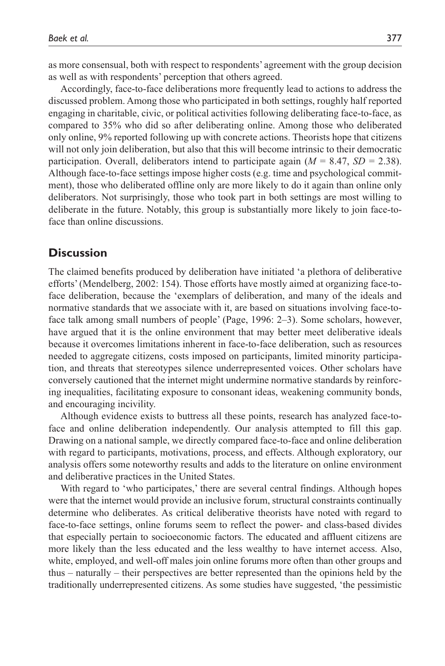as more consensual, both with respect to respondents' agreement with the group decision as well as with respondents' perception that others agreed.

Accordingly, face-to-face deliberations more frequently lead to actions to address the discussed problem. Among those who participated in both settings, roughly half reported engaging in charitable, civic, or political activities following deliberating face-to-face, as compared to 35% who did so after deliberating online. Among those who deliberated only online, 9% reported following up with concrete actions. Theorists hope that citizens will not only join deliberation, but also that this will become intrinsic to their democratic participation. Overall, deliberators intend to participate again  $(M = 8.47, SD = 2.38)$ . Although face-to-face settings impose higher costs (e.g. time and psychological commitment), those who deliberated offline only are more likely to do it again than online only deliberators. Not surprisingly, those who took part in both settings are most willing to deliberate in the future. Notably, this group is substantially more likely to join face-toface than online discussions.

### **Discussion**

The claimed benefits produced by deliberation have initiated 'a plethora of deliberative efforts' (Mendelberg, 2002: 154). Those efforts have mostly aimed at organizing face-toface deliberation, because the 'exemplars of deliberation, and many of the ideals and normative standards that we associate with it, are based on situations involving face-toface talk among small numbers of people' (Page, 1996: 2–3). Some scholars, however, have argued that it is the online environment that may better meet deliberative ideals because it overcomes limitations inherent in face-to-face deliberation, such as resources needed to aggregate citizens, costs imposed on participants, limited minority participation, and threats that stereotypes silence underrepresented voices. Other scholars have conversely cautioned that the internet might undermine normative standards by reinforcing inequalities, facilitating exposure to consonant ideas, weakening community bonds, and encouraging incivility.

Although evidence exists to buttress all these points, research has analyzed face-toface and online deliberation independently. Our analysis attempted to fill this gap. Drawing on a national sample, we directly compared face-to-face and online deliberation with regard to participants, motivations, process, and effects. Although exploratory, our analysis offers some noteworthy results and adds to the literature on online environment and deliberative practices in the United States.

With regard to 'who participates,' there are several central findings. Although hopes were that the internet would provide an inclusive forum, structural constraints continually determine who deliberates. As critical deliberative theorists have noted with regard to face-to-face settings, online forums seem to reflect the power- and class-based divides that especially pertain to socioeconomic factors. The educated and affluent citizens are more likely than the less educated and the less wealthy to have internet access. Also, white, employed, and well-off males join online forums more often than other groups and thus – naturally – their perspectives are better represented than the opinions held by the traditionally underrepresented citizens. As some studies have suggested, 'the pessimistic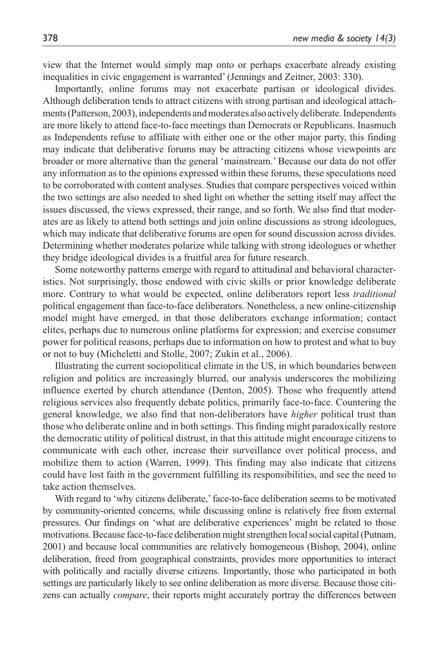view that the Internet would simply map onto or perhaps exacerbate already existing inequalities in civic engagement is warranted' (Jennings and Zeitner, 2003: 330).

Importantly, online forums may not exacerbate partisan or ideological divides. Although deliberation tends to attract citizens with strong partisan and ideological attachments (Patterson, 2003), independents and moderates also actively deliberate. Independents are more likely to attend face-to-face meetings than Democrats or Republicans. Inasmuch as Independents refuse to affiliate with either one or the other major party, this finding may indicate that deliberative forums may be attracting citizens whose viewpoints are broader or more alternative than the general 'mainstream.' Because our data do not offer any information as to the opinions expressed within these forums, these speculations need to be corroborated with content analyses. Studies that compare perspectives voiced within the two settings are also needed to shed light on whether the setting itself may affect the issues discussed, the views expressed, their range, and so forth. We also find that moderates are as likely to attend both settings and join online discussions as strong ideologues, which may indicate that deliberative forums are open for sound discussion across divides. Determining whether moderates polarize while talking with strong ideologues or whether they bridge ideological divides is a fruitful area for future research.

Some noteworthy patterns emerge with regard to attitudinal and behavioral characteristics. Not surprisingly, those endowed with civic skills or prior knowledge deliberate more. Contrary to what would be expected, online deliberators report less *traditional* political engagement than face-to-face deliberators. Nonetheless, a new online-citizenship model might have emerged, in that those deliberators exchange information; contact elites, perhaps due to numerous online platforms for expression; and exercise consumer power for political reasons, perhaps due to information on how to protest and what to buy or not to buy (Micheletti and Stolle, 2007; Zukin et al., 2006).

Illustrating the current sociopolitical climate in the US, in which boundaries between religion and politics are increasingly blurred, our analysis underscores the mobilizing influence exerted by church attendance (Denton, 2005). Those who frequently attend religious services also frequently debate politics, primarily face-to-face. Countering the general knowledge, we also find that non-deliberators have *higher* political trust than those who deliberate online and in both settings. This finding might paradoxically restore the democratic utility of political distrust, in that this attitude might encourage citizens to communicate with each other, increase their surveillance over political process, and mobilize them to action (Warren, 1999). This finding may also indicate that citizens could have lost faith in the government fulfilling its responsibilities, and see the need to take action themselves.

With regard to 'why citizens deliberate,' face-to-face deliberation seems to be motivated by community-oriented concerns, while discussing online is relatively free from external pressures. Our findings on 'what are deliberative experiences' might be related to those motivations. Because face-to-face deliberation might strengthen local social capital (Putnam, 2001) and because local communities are relatively homogeneous (Bishop, 2004), online deliberation, freed from geographical constraints, provides more opportunities to interact with politically and racially diverse citizens. Importantly, those who participated in both settings are particularly likely to see online deliberation as more diverse. Because those citizens can actually *compare*, their reports might accurately portray the differences between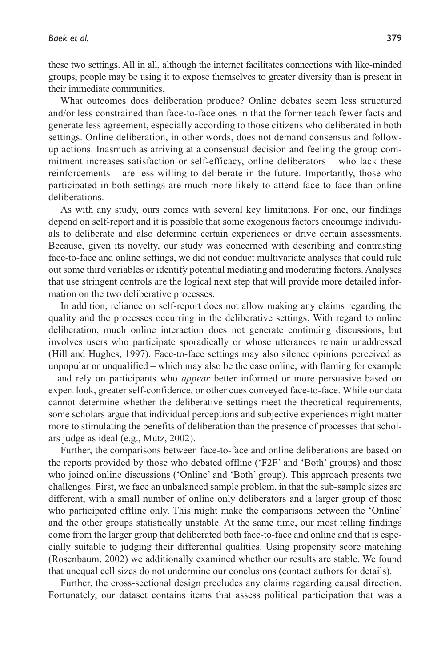these two settings. All in all, although the internet facilitates connections with like-minded groups, people may be using it to expose themselves to greater diversity than is present in their immediate communities.

What outcomes does deliberation produce? Online debates seem less structured and/or less constrained than face-to-face ones in that the former teach fewer facts and generate less agreement, especially according to those citizens who deliberated in both settings. Online deliberation, in other words, does not demand consensus and followup actions. Inasmuch as arriving at a consensual decision and feeling the group commitment increases satisfaction or self-efficacy, online deliberators – who lack these reinforcements – are less willing to deliberate in the future. Importantly, those who participated in both settings are much more likely to attend face-to-face than online deliberations.

As with any study, ours comes with several key limitations. For one, our findings depend on self-report and it is possible that some exogenous factors encourage individuals to deliberate and also determine certain experiences or drive certain assessments. Because, given its novelty, our study was concerned with describing and contrasting face-to-face and online settings, we did not conduct multivariate analyses that could rule out some third variables or identify potential mediating and moderating factors. Analyses that use stringent controls are the logical next step that will provide more detailed information on the two deliberative processes.

In addition, reliance on self-report does not allow making any claims regarding the quality and the processes occurring in the deliberative settings. With regard to online deliberation, much online interaction does not generate continuing discussions, but involves users who participate sporadically or whose utterances remain unaddressed (Hill and Hughes, 1997). Face-to-face settings may also silence opinions perceived as unpopular or unqualified – which may also be the case online, with flaming for example – and rely on participants who *appear* better informed or more persuasive based on expert look, greater self-confidence, or other cues conveyed face-to-face. While our data cannot determine whether the deliberative settings meet the theoretical requirements, some scholars argue that individual perceptions and subjective experiences might matter more to stimulating the benefits of deliberation than the presence of processes that scholars judge as ideal (e.g., Mutz, 2002).

Further, the comparisons between face-to-face and online deliberations are based on the reports provided by those who debated offline ('F2F' and 'Both' groups) and those who joined online discussions ('Online' and 'Both' group). This approach presents two challenges. First, we face an unbalanced sample problem, in that the sub-sample sizes are different, with a small number of online only deliberators and a larger group of those who participated offline only. This might make the comparisons between the 'Online' and the other groups statistically unstable. At the same time, our most telling findings come from the larger group that deliberated both face-to-face and online and that is especially suitable to judging their differential qualities. Using propensity score matching (Rosenbaum, 2002) we additionally examined whether our results are stable. We found that unequal cell sizes do not undermine our conclusions (contact authors for details).

Further, the cross-sectional design precludes any claims regarding causal direction. Fortunately, our dataset contains items that assess political participation that was a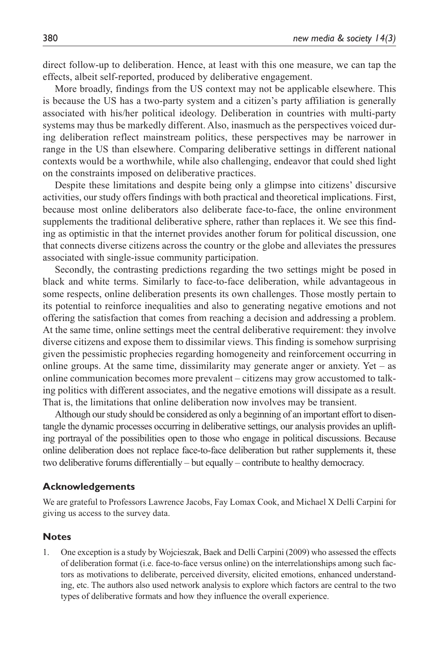direct follow-up to deliberation. Hence, at least with this one measure, we can tap the effects, albeit self-reported, produced by deliberative engagement.

More broadly, findings from the US context may not be applicable elsewhere. This is because the US has a two-party system and a citizen's party affiliation is generally associated with his/her political ideology. Deliberation in countries with multi-party systems may thus be markedly different. Also, inasmuch as the perspectives voiced during deliberation reflect mainstream politics, these perspectives may be narrower in range in the US than elsewhere. Comparing deliberative settings in different national contexts would be a worthwhile, while also challenging, endeavor that could shed light on the constraints imposed on deliberative practices.

Despite these limitations and despite being only a glimpse into citizens' discursive activities, our study offers findings with both practical and theoretical implications. First, because most online deliberators also deliberate face-to-face, the online environment supplements the traditional deliberative sphere, rather than replaces it. We see this finding as optimistic in that the internet provides another forum for political discussion, one that connects diverse citizens across the country or the globe and alleviates the pressures associated with single-issue community participation.

Secondly, the contrasting predictions regarding the two settings might be posed in black and white terms. Similarly to face-to-face deliberation, while advantageous in some respects, online deliberation presents its own challenges. Those mostly pertain to its potential to reinforce inequalities and also to generating negative emotions and not offering the satisfaction that comes from reaching a decision and addressing a problem. At the same time, online settings meet the central deliberative requirement: they involve diverse citizens and expose them to dissimilar views. This finding is somehow surprising given the pessimistic prophecies regarding homogeneity and reinforcement occurring in online groups. At the same time, dissimilarity may generate anger or anxiety. Yet – as online communication becomes more prevalent – citizens may grow accustomed to talking politics with different associates, and the negative emotions will dissipate as a result. That is, the limitations that online deliberation now involves may be transient.

Although our study should be considered as only a beginning of an important effort to disentangle the dynamic processes occurring in deliberative settings, our analysis provides an uplifting portrayal of the possibilities open to those who engage in political discussions. Because online deliberation does not replace face-to-face deliberation but rather supplements it, these two deliberative forums differentially – but equally – contribute to healthy democracy.

#### **Acknowledgements**

We are grateful to Professors Lawrence Jacobs, Fay Lomax Cook, and Michael X Delli Carpini for giving us access to the survey data.

#### **Notes**

1. One exception is a study by Wojcieszak, Baek and Delli Carpini (2009) who assessed the effects of deliberation format (i.e. face-to-face versus online) on the interrelationships among such factors as motivations to deliberate, perceived diversity, elicited emotions, enhanced understanding, etc. The authors also used network analysis to explore which factors are central to the two types of deliberative formats and how they influence the overall experience.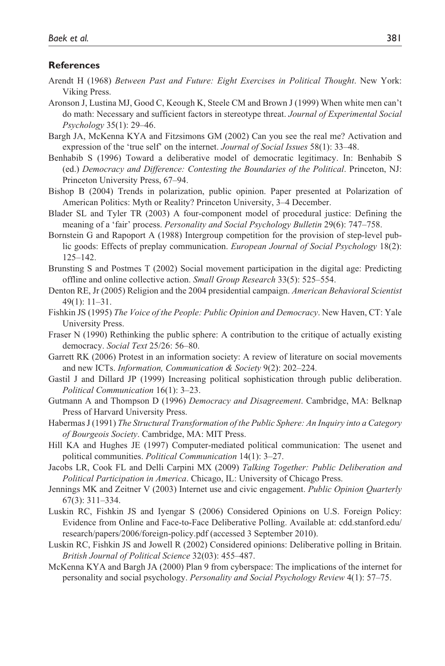#### **References**

- Arendt H (1968) *Between Past and Future: Eight Exercises in Political Thought*. New York: Viking Press.
- Aronson J, Lustina MJ, Good C, Keough K, Steele CM and Brown J (1999) When white men can't do math: Necessary and sufficient factors in stereotype threat. *Journal of Experimental Social Psychology* 35(1): 29–46.
- Bargh JA, McKenna KYA and Fitzsimons GM (2002) Can you see the real me? Activation and expression of the 'true self' on the internet. *Journal of Social Issues* 58(1): 33–48.
- Benhabib S (1996) Toward a deliberative model of democratic legitimacy. In: Benhabib S (ed.) *Democracy and Difference: Contesting the Boundaries of the Political*. Princeton, NJ: Princeton University Press, 67–94.
- Bishop B (2004) Trends in polarization, public opinion. Paper presented at Polarization of American Politics: Myth or Reality? Princeton University, 3–4 December.
- Blader SL and Tyler TR (2003) A four-component model of procedural justice: Defining the meaning of a 'fair' process. *Personality and Social Psychology Bulletin* 29(6): 747–758.
- Bornstein G and Rapoport A (1988) Intergroup competition for the provision of step-level public goods: Effects of preplay communication. *European Journal of Social Psychology* 18(2): 125–142.
- Brunsting S and Postmes T (2002) Social movement participation in the digital age: Predicting offline and online collective action. *Small Group Research* 33(5): 525–554.
- Denton RE, Jr (2005) Religion and the 2004 presidential campaign. *American Behavioral Scientist* 49(1): 11–31.
- Fishkin JS (1995) *The Voice of the People: Public Opinion and Democracy*. New Haven, CT: Yale University Press.
- Fraser N (1990) Rethinking the public sphere: A contribution to the critique of actually existing democracy. *Social Text* 25/26: 56–80.
- Garrett RK (2006) Protest in an information society: A review of literature on social movements and new ICTs. *Information, Communication & Society* 9(2): 202–224.
- Gastil J and Dillard JP (1999) Increasing political sophistication through public deliberation. *Political Communication* 16(1): 3–23.
- Gutmann A and Thompson D (1996) *Democracy and Disagreement*. Cambridge, MA: Belknap Press of Harvard University Press.
- Habermas J (1991) *The Structural Transformation of the Public Sphere: An Inquiry into a Category of Bourgeois Society*. Cambridge, MA: MIT Press.
- Hill KA and Hughes JE (1997) Computer-mediated political communication: The usenet and political communities. *Political Communication* 14(1): 3–27.
- Jacobs LR, Cook FL and Delli Carpini MX (2009) *Talking Together: Public Deliberation and Political Participation in America*. Chicago, IL: University of Chicago Press.
- Jennings MK and Zeitner V (2003) Internet use and civic engagement. *Public Opinion Quarterly* 67(3): 311–334.
- Luskin RC, Fishkin JS and Iyengar S (2006) Considered Opinions on U.S. Foreign Policy: Evidence from Online and Face-to-Face Deliberative Polling. Available at: cdd.stanford.edu/ research/papers/2006/foreign-policy.pdf (accessed 3 September 2010).
- Luskin RC, Fishkin JS and Jowell R (2002) Considered opinions: Deliberative polling in Britain. *British Journal of Political Science* 32(03): 455–487.
- McKenna KYA and Bargh JA (2000) Plan 9 from cyberspace: The implications of the internet for personality and social psychology. *Personality and Social Psychology Review* 4(1): 57–75.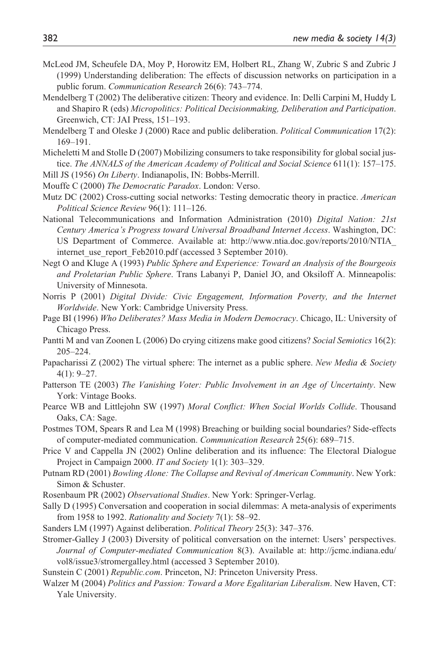- McLeod JM, Scheufele DA, Moy P, Horowitz EM, Holbert RL, Zhang W, Zubric S and Zubric J (1999) Understanding deliberation: The effects of discussion networks on participation in a public forum. *Communication Research* 26(6): 743–774.
- Mendelberg T (2002) The deliberative citizen: Theory and evidence. In: Delli Carpini M, Huddy L and Shapiro R (eds) *Micropolitics: Political Decisionmaking, Deliberation and Participation*. Greenwich, CT: JAI Press, 151–193.
- Mendelberg T and Oleske J (2000) Race and public deliberation. *Political Communication* 17(2): 169–191.

Micheletti M and Stolle D (2007) Mobilizing consumers to take responsibility for global social justice. *The ANNALS of the American Academy of Political and Social Science* 611(1): 157–175.

Mill JS (1956) *On Liberty*. Indianapolis, IN: Bobbs-Merrill.

- Mouffe C (2000) *The Democratic Paradox*. London: Verso.
- Mutz DC (2002) Cross-cutting social networks: Testing democratic theory in practice. *American Political Science Review* 96(1): 111–126.
- National Telecommunications and Information Administration (2010) *Digital Nation: 21st Century America's Progress toward Universal Broadband Internet Access*. Washington, DC: US Department of Commerce. Available at: http://www.ntia.doc.gov/reports/2010/NTIA\_ internet use report Feb2010.pdf (accessed 3 September 2010).
- Negt O and Kluge A (1993) *Public Sphere and Experience: Toward an Analysis of the Bourgeois and Proletarian Public Sphere*. Trans Labanyi P, Daniel JO, and Oksiloff A. Minneapolis: University of Minnesota.
- Norris P (2001) *Digital Divide: Civic Engagement, Information Poverty, and the Internet Worldwide*. New York: Cambridge University Press.
- Page BI (1996) *Who Deliberates? Mass Media in Modern Democracy*. Chicago, IL: University of Chicago Press.
- Pantti M and van Zoonen L (2006) Do crying citizens make good citizens? *Social Semiotics* 16(2): 205–224.
- Papacharissi Z (2002) The virtual sphere: The internet as a public sphere. *New Media & Society*  $4(1)$ : 9–27.
- Patterson TE (2003) *The Vanishing Voter: Public Involvement in an Age of Uncertainty*. New York: Vintage Books.
- Pearce WB and Littlejohn SW (1997) *Moral Conflict: When Social Worlds Collide*. Thousand Oaks, CA: Sage.
- Postmes TOM, Spears R and Lea M (1998) Breaching or building social boundaries? Side-effects of computer-mediated communication. *Communication Research* 25(6): 689–715.
- Price V and Cappella JN (2002) Online deliberation and its influence: The Electoral Dialogue Project in Campaign 2000. *IT and Society* 1(1): 303–329.
- Putnam RD (2001) *Bowling Alone: The Collapse and Revival of American Community*. New York: Simon & Schuster.
- Rosenbaum PR (2002) *Observational Studies*. New York: Springer-Verlag.
- Sally D (1995) Conversation and cooperation in social dilemmas: A meta-analysis of experiments from 1958 to 1992. *Rationality and Society* 7(1): 58–92.
- Sanders LM (1997) Against deliberation. *Political Theory* 25(3): 347–376.
- Stromer-Galley J (2003) Diversity of political conversation on the internet: Users' perspectives. *Journal of Computer-mediated Communication* 8(3). Available at: http://jcmc.indiana.edu/ vol8/issue3/stromergalley.html (accessed 3 September 2010).
- Sunstein C (2001) *Republic.com*. Princeton, NJ: Princeton University Press.
- Walzer M (2004) *Politics and Passion: Toward a More Egalitarian Liberalism*. New Haven, CT: Yale University.